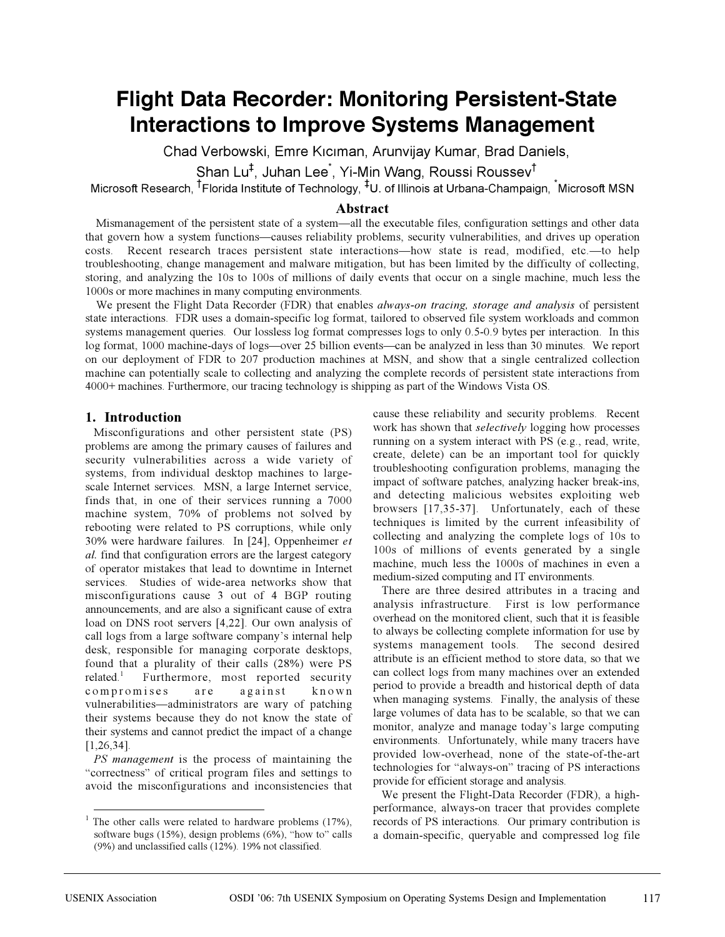# **Flight Data Recorder: Monitoring Persistent-State Interactions to Improve Systems Management**

Chad Verbowski, Emre Kıcıman, Arunvijay Kumar, Brad Daniels,

 $\mathsf{Shan}\ \mathsf{Lu}^\ddag$ , Juhan Lee $\check{~}$ , Yi-Min Wang, Roussi Roussev ${}^\dagger$ 

Microsoft Research, <sup>†</sup>Florida Institute of Technology, <sup>‡</sup>U. of Illinois at Urbana-Champaign, <sup>\*</sup>Microsoft MSN

# **Abstract**

Mismanagement of the persistent state of a system—all the executable files, configuration settings and other data that govern how a system functions—causes reliability problems, security vulnerabilities, and drives up operation costs. Recent research traces persistent state interactions—how state is read, modified, etc.—to help troubleshooting, change management and malware mitigation, but has been limited by the difficulty of collecting, storing, and analyzing the 10s to 100s of millions of daily events that occur on a single machine, much less the 1000s or more machines in many computing environments.

We present the Flight Data Recorder (FDR) that enables *always-on tracing, storage and analysis* of persistent state interactions. FDR uses a domain-specific log format, tailored to observed file system workloads and common systems management queries. Our lossless log format compresses logs to only 0.5-0.9 bytes per interaction. In this log format, 1000 machine-days of logs—over 25 billion events—can be analyzed in less than 30 minutes. We report on our deployment of FDR to 207 production machines at MSN, and show that a single centralized collection machine can potentially scale to collecting and analyzing the complete records of persistent state interactions from 4000+ machines. Furthermore, our tracing technology is shipping as part of the Windows Vista OS.

## **1. Introduction**

Misconfigurations and other persistent state (PS) problems are among the primary causes of failures and security vulnerabilities across a wide variety of systems, from individual desktop machines to largescale Internet services. MSN, a large Internet service, finds that, in one of their services running a 7000 machine system, 70% of problems not solved by rebooting were related to PS corruptions, while only 30% were hardware failures. In [24], Oppenheimer *et al.* find that configuration errors are the largest category of operator mistakes that lead to downtime in Internet services. Studies of wide-area networks show that misconfigurations cause 3 out of 4 BGP routing announcements, and are also a significant cause of extra load on DNS root servers [4,22]. Our own analysis of call logs from a large software company's internal help desk, responsible for managing corporate desktops, found that a plurality of their calls (28%) were PS related.<sup>1</sup> Furthermore, most reported security compromises are against known vulnerabilities—administrators are wary of patching their systems because they do not know the state of their systems and cannot predict the impact of a change [1,26,34].

*PS management* is the process of maintaining the "correctness" of critical program files and settings to avoid the misconfigurations and inconsistencies that cause these reliability and security problems. Recent work has shown that *selectively* logging how processes running on a system interact with PS (e.g., read, write, create, delete) can be an important tool for quickly troubleshooting configuration problems, managing the impact of software patches, analyzing hacker break-ins, and detecting malicious websites exploiting web browsers [17,35-37]. Unfortunately, each of these techniques is limited by the current infeasibility of collecting and analyzing the complete logs of 10s to 100s of millions of events generated by a single machine, much less the 1000s of machines in even a medium-sized computing and IT environments.

There are three desired attributes in a tracing and analysis infrastructure. First is low performance overhead on the monitored client, such that it is feasible to always be collecting complete information for use by systems management tools. The second desired attribute is an efficient method to store data, so that we can collect logs from many machines over an extended period to provide a breadth and historical depth of data when managing systems. Finally, the analysis of these large volumes of data has to be scalable, so that we can monitor, analyze and manage today's large computing environments. Unfortunately, while many tracers have provided low-overhead, none of the state-of-the-art technologies for "always-on" tracing of PS interactions provide for efficient storage and analysis.

We present the Flight-Data Recorder (FDR), a highperformance, always-on tracer that provides complete records of PS interactions. Our primary contribution is a domain-specific, queryable and compressed log file

<sup>&</sup>lt;sup>1</sup> The other calls were related to hardware problems (17%), software bugs (15%), design problems (6%), "how to" calls (9%) and unclassified calls (12%). 19% not classified.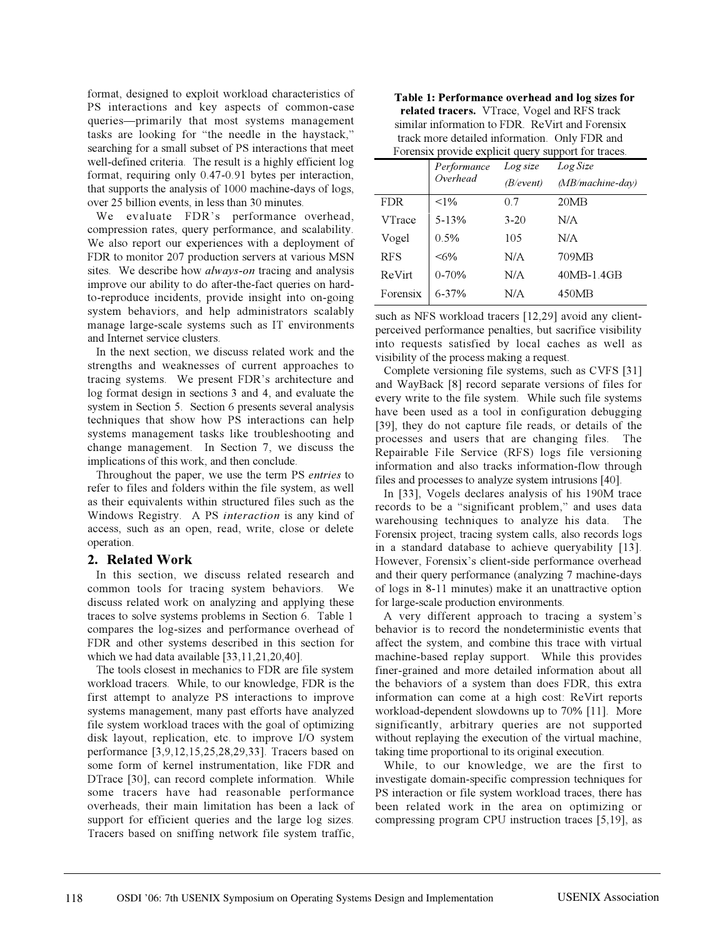format, designed to exploit workload characteristics of PS interactions and key aspects of common-case queries—primarily that most systems management tasks are looking for "the needle in the haystack," searching for a small subset of PS interactions that meet well-defined criteria. The result is a highly efficient log format, requiring only 0.47-0.91 bytes per interaction, that supports the analysis of 1000 machine-days of logs, over 25 billion events, in less than 30 minutes.

We evaluate FDR's performance overhead, compression rates, query performance, and scalability. We also report our experiences with a deployment of FDR to monitor 207 production servers at various MSN sites. We describe how *always-on* tracing and analysis improve our ability to do after-the-fact queries on hardto-reproduce incidents, provide insight into on-going system behaviors, and help administrators scalably manage large-scale systems such as IT environments and Internet service clusters.

In the next section, we discuss related work and the strengths and weaknesses of current approaches to tracing systems. We present FDR's architecture and log format design in sections 3 and 4, and evaluate the system in Section 5. Section 6 presents several analysis techniques that show how PS interactions can help systems management tasks like troubleshooting and change management. In Section 7, we discuss the implications of this work, and then conclude.

Throughout the paper, we use the term PS *entries* to refer to files and folders within the file system, as well as their equivalents within structured files such as the Windows Registry. A PS *interaction* is any kind of access, such as an open, read, write, close or delete operation.

## **2. Related Work**

In this section, we discuss related research and common tools for tracing system behaviors. We discuss related work on analyzing and applying these traces to solve systems problems in Section 6. Table 1 compares the log-sizes and performance overhead of FDR and other systems described in this section for which we had data available [33,11,21,20,40].

The tools closest in mechanics to FDR are file system workload tracers. While, to our knowledge, FDR is the first attempt to analyze PS interactions to improve systems management, many past efforts have analyzed file system workload traces with the goal of optimizing disk layout, replication, etc. to improve I/O system performance [3,9,12,15,25,28,29,33]. Tracers based on some form of kernel instrumentation, like FDR and DTrace [30], can record complete information. While some tracers have had reasonable performance overheads, their main limitation has been a lack of support for efficient queries and the large log sizes. Tracers based on sniffing network file system traffic,

| Table 1: Performance overhead and log sizes for     |
|-----------------------------------------------------|
| related tracers. VTrace, Vogel and RFS track        |
| similar information to FDR. ReVirt and Forensix     |
| track more detailed information. Only FDR and       |
| Forensix provide explicit query support for traces. |

|               | Performance<br>Overhead | Log size  | Log Size           |
|---------------|-------------------------|-----------|--------------------|
|               |                         | (B/event) | $(MB/machine-day)$ |
| <b>FDR</b>    | $< 1\%$                 | 0.7       | 20MB               |
| <b>VTrace</b> | $5 - 13%$               | $3 - 20$  | N/A                |
| Vogel         | $0.5\%$                 | 105       | N/A                |
| <b>RFS</b>    | $<\!\!6\!\%$            | N/A       | 709MB              |
| ReVirt        | $0 - 70%$               | N/A       | 40MB-1.4GB         |
| Forensix      | $6 - 37%$               | N/A       | 450MB              |
|               |                         |           |                    |

such as NFS workload tracers [12,29] avoid any clientperceived performance penalties, but sacrifice visibility into requests satisfied by local caches as well as visibility of the process making a request.

Complete versioning file systems, such as CVFS [31] and WayBack [8] record separate versions of files for every write to the file system. While such file systems have been used as a tool in configuration debugging [39], they do not capture file reads, or details of the processes and users that are changing files. The Repairable File Service (RFS) logs file versioning information and also tracks information-flow through files and processes to analyze system intrusions [40].

In [33], Vogels declares analysis of his 190M trace records to be a "significant problem," and uses data warehousing techniques to analyze his data. The Forensix project, tracing system calls, also records logs in a standard database to achieve queryability [13]. However, Forensix's client-side performance overhead and their query performance (analyzing 7 machine-days of logs in 8-11 minutes) make it an unattractive option for large-scale production environments.

A very different approach to tracing a system's behavior is to record the nondeterministic events that affect the system, and combine this trace with virtual machine-based replay support. While this provides finer-grained and more detailed information about all the behaviors of a system than does FDR, this extra information can come at a high cost: ReVirt reports workload-dependent slowdowns up to 70% [11]. More significantly, arbitrary queries are not supported without replaying the execution of the virtual machine, taking time proportional to its original execution.

While, to our knowledge, we are the first to investigate domain-specific compression techniques for PS interaction or file system workload traces, there has been related work in the area on optimizing or compressing program CPU instruction traces [5,19], as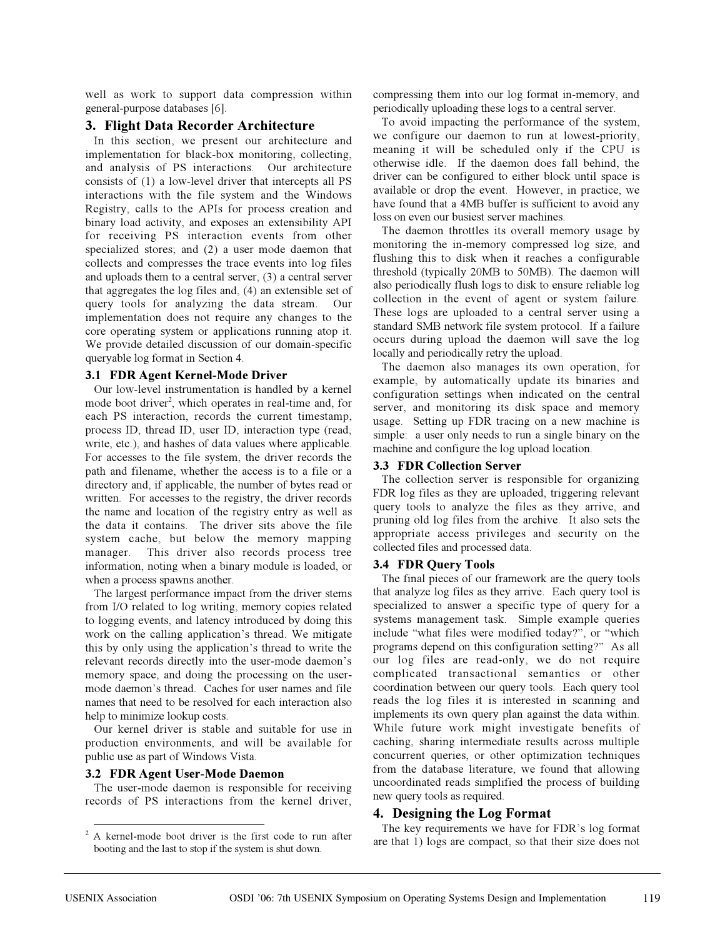well as work to support data compression within general-purpose databases [6].

## **3. Flight Data Recorder Architecture**

In this section, we present our architecture and implementation for black-box monitoring, collecting, and analysis of PS interactions. Our architecture consists of (1) a low-level driver that intercepts all PS interactions with the file system and the Windows Registry, calls to the APIs for process creation and binary load activity, and exposes an extensibility API for receiving PS interaction events from other specialized stores; and (2) a user mode daemon that collects and compresses the trace events into log files and uploads them to a central server, (3) a central server that aggregates the log files and, (4) an extensible set of query tools for analyzing the data stream. Our implementation does not require any changes to the core operating system or applications running atop it. We provide detailed discussion of our domain-specific queryable log format in Section 4.

#### **3.1 FDR Agent Kernel-Mode Driver**

Our low-level instrumentation is handled by a kernel mode boot driver<sup>2</sup>, which operates in real-time and, for each PS interaction, records the current timestamp, process ID, thread ID, user ID, interaction type (read, write, etc.), and hashes of data values where applicable. For accesses to the file system, the driver records the path and filename, whether the access is to a file or a directory and, if applicable, the number of bytes read or written. For accesses to the registry, the driver records the name and location of the registry entry as well as the data it contains. The driver sits above the file system cache, but below the memory mapping manager. This driver also records process tree information, noting when a binary module is loaded, or when a process spawns another.

The largest performance impact from the driver stems from I/O related to log writing, memory copies related to logging events, and latency introduced by doing this work on the calling application's thread. We mitigate this by only using the application's thread to write the relevant records directly into the user-mode daemon's memory space, and doing the processing on the usermode daemon's thread. Caches for user names and file names that need to be resolved for each interaction also help to minimize lookup costs.

Our kernel driver is stable and suitable for use in production environments, and will be available for public use as part of Windows Vista.

#### **3.2 FDR Agent User-Mode Daemon**

The user-mode daemon is responsible for receiving records of PS interactions from the kernel driver,

compressing them into our log format in-memory, and periodically uploading these logs to a central server.

To avoid impacting the performance of the system, we configure our daemon to run at lowest-priority, meaning it will be scheduled only if the CPU is otherwise idle. If the daemon does fall behind, the driver can be configured to either block until space is available or drop the event. However, in practice, we have found that a 4MB buffer is sufficient to avoid any loss on even our busiest server machines.

The daemon throttles its overall memory usage by monitoring the in-memory compressed log size, and flushing this to disk when it reaches a configurable threshold (typically 20MB to 50MB). The daemon will also periodically flush logs to disk to ensure reliable log collection in the event of agent or system failure. These logs are uploaded to a central server using a standard SMB network file system protocol. If a failure occurs during upload the daemon will save the log locally and periodically retry the upload.

The daemon also manages its own operation, for example, by automatically update its binaries and configuration settings when indicated on the central server, and monitoring its disk space and memory usage. Setting up FDR tracing on a new machine is simple: a user only needs to run a single binary on the machine and configure the log upload location.

#### **3.3 FDR Collection Server**

The collection server is responsible for organizing FDR log files as they are uploaded, triggering relevant query tools to analyze the files as they arrive, and pruning old log files from the archive. It also sets the appropriate access privileges and security on the collected files and processed data.

#### **3.4 FDR Query Tools**

The final pieces of our framework are the query tools that analyze log files as they arrive. Each query tool is specialized to answer a specific type of query for a systems management task. Simple example queries include "what files were modified today?", or "which programs depend on this configuration setting?" As all our log files are read-only, we do not require complicated transactional semantics or other coordination between our query tools. Each query tool reads the log files it is interested in scanning and implements its own query plan against the data within. While future work might investigate benefits of caching, sharing intermediate results across multiple concurrent queries, or other optimization techniques from the database literature, we found that allowing uncoordinated reads simplified the process of building new query tools as required.

## **4. Designing the Log Format**

The key requirements we have for FDR's log format are that 1) logs are compact, so that their size does not

<sup>&</sup>lt;sup>2</sup> A kernel-mode boot driver is the first code to run after booting and the last to stop if the system is shut down.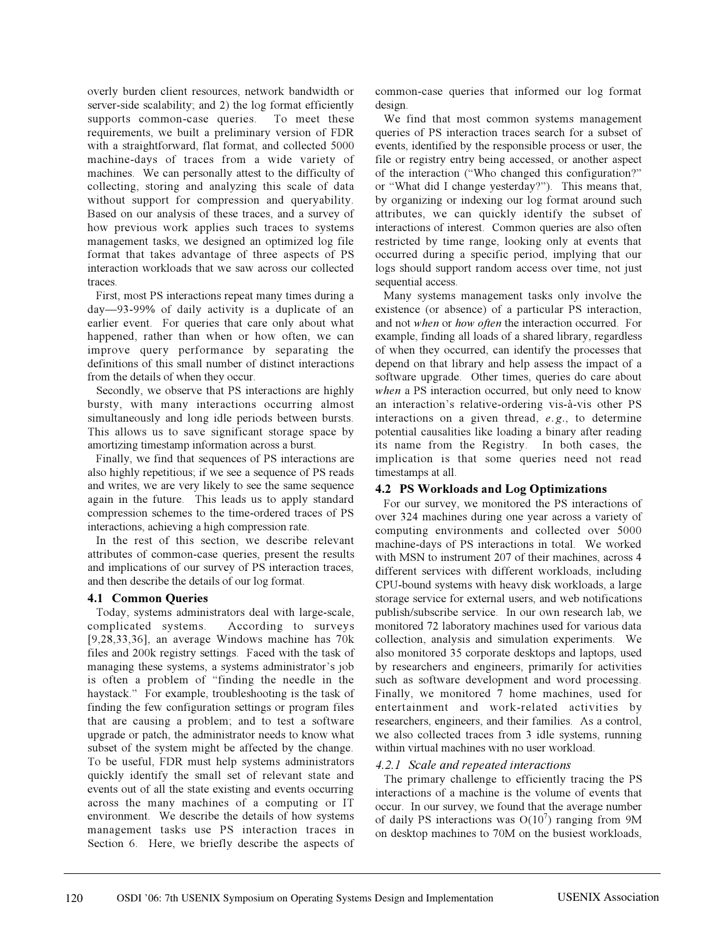overly burden client resources, network bandwidth or server-side scalability; and 2) the log format efficiently supports common-case queries. To meet these requirements, we built a preliminary version of FDR with a straightforward, flat format, and collected 5000 machine-days of traces from a wide variety of machines. We can personally attest to the difficulty of collecting, storing and analyzing this scale of data without support for compression and queryability. Based on our analysis of these traces, and a survey of how previous work applies such traces to systems management tasks, we designed an optimized log file format that takes advantage of three aspects of PS interaction workloads that we saw across our collected traces.

First, most PS interactions repeat many times during a day—93-99% of daily activity is a duplicate of an earlier event. For queries that care only about what happened, rather than when or how often, we can improve query performance by separating the definitions of this small number of distinct interactions from the details of when they occur.

Secondly, we observe that PS interactions are highly bursty, with many interactions occurring almost simultaneously and long idle periods between bursts. This allows us to save significant storage space by amortizing timestamp information across a burst.

Finally, we find that sequences of PS interactions are also highly repetitious; if we see a sequence of PS reads and writes, we are very likely to see the same sequence again in the future. This leads us to apply standard compression schemes to the time-ordered traces of PS interactions, achieving a high compression rate.

In the rest of this section, we describe relevant attributes of common-case queries, present the results and implications of our survey of PS interaction traces, and then describe the details of our log format.

## **4.1 Common Queries**

Today, systems administrators deal with large-scale, complicated systems. According to surveys [9,28,33,36], an average Windows machine has 70k files and 200k registry settings. Faced with the task of managing these systems, a systems administrator's job is often a problem of "finding the needle in the haystack." For example, troubleshooting is the task of finding the few configuration settings or program files that are causing a problem; and to test a software upgrade or patch, the administrator needs to know what subset of the system might be affected by the change. To be useful, FDR must help systems administrators quickly identify the small set of relevant state and events out of all the state existing and events occurring across the many machines of a computing or IT environment. We describe the details of how systems management tasks use PS interaction traces in Section 6. Here, we briefly describe the aspects of common-case queries that informed our log format design.

We find that most common systems management queries of PS interaction traces search for a subset of events, identified by the responsible process or user, the file or registry entry being accessed, or another aspect of the interaction ("Who changed this configuration?" or "What did I change yesterday?"). This means that, by organizing or indexing our log format around such attributes, we can quickly identify the subset of interactions of interest. Common queries are also often restricted by time range, looking only at events that occurred during a specific period, implying that our logs should support random access over time, not just sequential access.

Many systems management tasks only involve the existence (or absence) of a particular PS interaction, and not *when* or *how often* the interaction occurred. For example, finding all loads of a shared library, regardless of when they occurred, can identify the processes that depend on that library and help assess the impact of a software upgrade. Other times, queries do care about *when* a PS interaction occurred, but only need to know an interaction's relative-ordering vis-à-vis other PS interactions on a given thread, *e.g.*, to determine potential causalities like loading a binary after reading its name from the Registry. In both cases, the implication is that some queries need not read timestamps at all.

## **4.2 PS Workloads and Log Optimizations**

For our survey, we monitored the PS interactions of over 324 machines during one year across a variety of computing environments and collected over 5000 machine-days of PS interactions in total. We worked with MSN to instrument 207 of their machines, across 4 different services with different workloads, including CPU-bound systems with heavy disk workloads, a large storage service for external users, and web notifications publish/subscribe service. In our own research lab, we monitored 72 laboratory machines used for various data collection, analysis and simulation experiments. We also monitored 35 corporate desktops and laptops, used by researchers and engineers, primarily for activities such as software development and word processing. Finally, we monitored 7 home machines, used for entertainment and work-related activities by researchers, engineers, and their families. As a control, we also collected traces from 3 idle systems, running within virtual machines with no user workload.

## *4.2.1 Scale and repeated interactions*

The primary challenge to efficiently tracing the PS interactions of a machine is the volume of events that occur. In our survey, we found that the average number of daily PS interactions was  $O(10^7)$  ranging from 9M on desktop machines to 70M on the busiest workloads,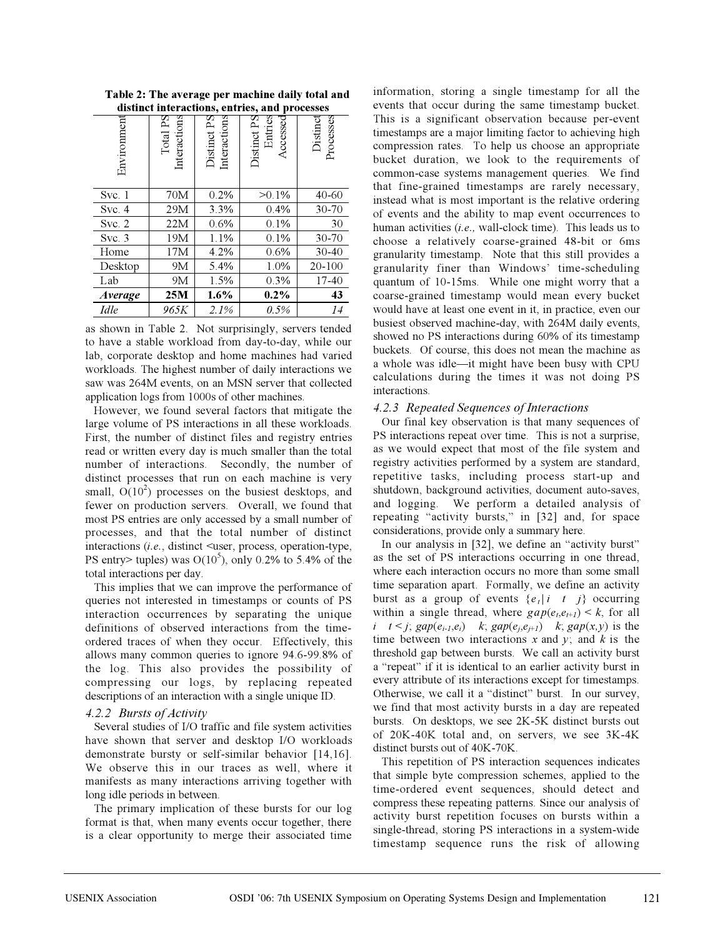**Table 2: The average per machine daily total and distinct interactions, entries, and processes**

| Environment    | Total PS<br>Interactions | Interactions<br>Distinct PS | Distinct PS<br>Entries<br>Accessed | Distinct<br>Processes |
|----------------|--------------------------|-----------------------------|------------------------------------|-----------------------|
| Svc.1          | 70M                      | 0.2%                        | $>0.1\%$                           | $40 - 60$             |
| Svc.4          | 29M                      | 3.3%                        | 0.4%                               | 30-70                 |
| Svc. 2         | 22M                      | 0.6%                        | 0.1%                               | 30                    |
| Svc.3          | 19M                      | 1.1%                        | 0.1%                               | 30-70                 |
| Home           | 17M                      | 4.2%                        | 0.6%                               | $30 - 40$             |
| Desktop        | 9M                       | 5.4%                        | 1.0%                               | 20-100                |
| Lab            | 9M                       | 1.5%                        | 0.3%                               | $17 - 40$             |
| <b>Average</b> | 25M                      | $1.6\%$                     | $0.2\%$                            | 43                    |
| <i>Idle</i>    | 965K                     | 2.1%                        | 0.5%                               | 14                    |

as shown in Table 2. Not surprisingly, servers tended to have a stable workload from day-to-day, while our lab, corporate desktop and home machines had varied workloads. The highest number of daily interactions we saw was 264M events, on an MSN server that collected application logs from 1000s of other machines.

However, we found several factors that mitigate the large volume of PS interactions in all these workloads. First, the number of distinct files and registry entries read or written every day is much smaller than the total number of interactions. Secondly, the number of distinct processes that run on each machine is very small,  $O(10^2)$  processes on the busiest desktops, and fewer on production servers. Overall, we found that most PS entries are only accessed by a small number of processes, and that the total number of distinct interactions (*i.e.*, distinct <user, process, operation-type, PS entry> tuples) was  $O(10^5)$ , only 0.2% to 5.4% of the total interactions per day.

This implies that we can improve the performance of queries not interested in timestamps or counts of PS interaction occurrences by separating the unique definitions of observed interactions from the timeordered traces of when they occur. Effectively, this allows many common queries to ignore 94.6-99.8% of the log. This also provides the possibility of compressing our logs, by replacing repeated descriptions of an interaction with a single unique ID.

#### *4.2.2 Bursts of Activity*

Several studies of I/O traffic and file system activities have shown that server and desktop I/O workloads demonstrate bursty or self-similar behavior [14,16]. We observe this in our traces as well, where it manifests as many interactions arriving together with long idle periods in between.

The primary implication of these bursts for our log format is that, when many events occur together, there is a clear opportunity to merge their associated time

information, storing a single timestamp for all the events that occur during the same timestamp bucket. This is a significant observation because per-event timestamps are a major limiting factor to achieving high compression rates. To help us choose an appropriate bucket duration, we look to the requirements of common-case systems management queries. We find that fine-grained timestamps are rarely necessary, instead what is most important is the relative ordering of events and the ability to map event occurrences to human activities (*i.e.,* wall-clock time). This leads us to choose a relatively coarse-grained 48-bit or 6ms granularity timestamp. Note that this still provides a granularity finer than Windows' time-scheduling quantum of 10-15ms. While one might worry that a coarse-grained timestamp would mean every bucket would have at least one event in it, in practice, even our busiest observed machine-day, with 264M daily events, showed no PS interactions during 60% of its timestamp buckets. Of course, this does not mean the machine as a whole was idle—it might have been busy with CPU calculations during the times it was not doing PS interactions.

## *4.2.3 Repeated Sequences of Interactions*

Our final key observation is that many sequences of PS interactions repeat over time. This is not a surprise, as we would expect that most of the file system and registry activities performed by a system are standard, repetitive tasks, including process start-up and shutdown, background activities, document auto-saves, and logging. We perform a detailed analysis of repeating "activity bursts," in [32] and, for space considerations, provide only a summary here.

In our analysis in [32], we define an "activity burst" as the set of PS interactions occurring in one thread, where each interaction occurs no more than some small time separation apart. Formally, we define an activity burst as a group of events  ${e_t | i \mid t \quad j}$  occurring within a single thread, where  $gap(e_t, e_{t+1}) \leq k$ , for all *i*  $t < j$ ;  $gap(e_{i-1}, e_i)$  *k*;  $gap(e_{j}, e_{j+1})$  *k*;  $gap(x, y)$  is the time between two interactions  $x$  and  $y$ ; and  $k$  is the threshold gap between bursts. We call an activity burst a "repeat" if it is identical to an earlier activity burst in every attribute of its interactions except for timestamps. Otherwise, we call it a "distinct" burst. In our survey, we find that most activity bursts in a day are repeated bursts. On desktops, we see 2K-5K distinct bursts out of 20K-40K total and, on servers, we see 3K-4K distinct bursts out of 40K-70K.

This repetition of PS interaction sequences indicates that simple byte compression schemes, applied to the time-ordered event sequences, should detect and compress these repeating patterns. Since our analysis of activity burst repetition focuses on bursts within a single-thread, storing PS interactions in a system-wide timestamp sequence runs the risk of allowing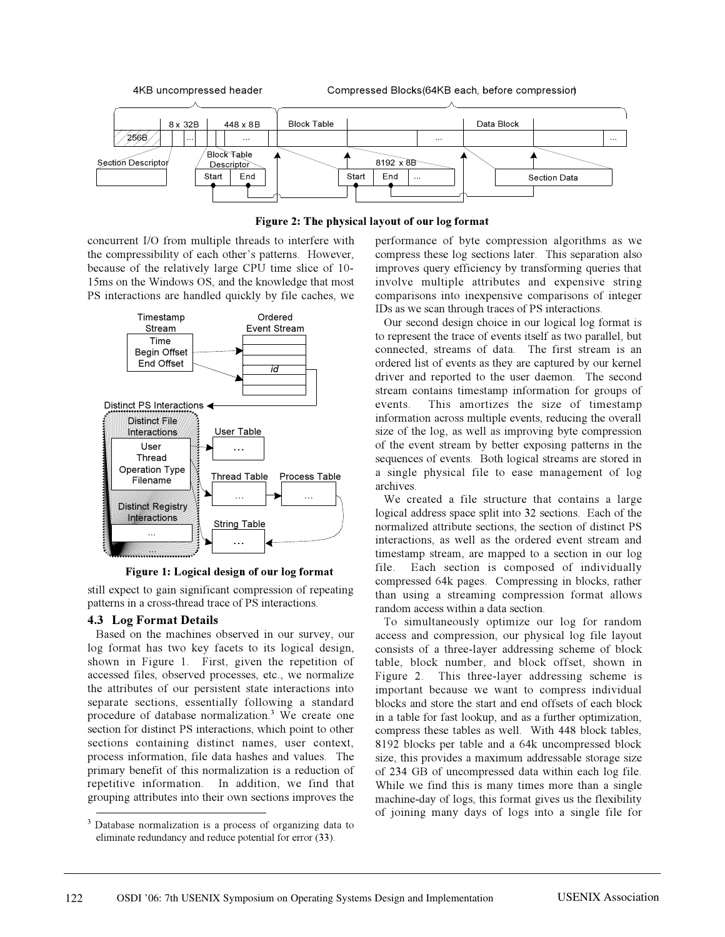

## **Figure 2: The physical layout of our log format**

concurrent I/O from multiple threads to interfere with the compressibility of each other's patterns. However, because of the relatively large CPU time slice of 10- 15ms on the Windows OS, and the knowledge that most PS interactions are handled quickly by file caches, we



**Figure 1: Logical design of our log format**

still expect to gain significant compression of repeating patterns in a cross-thread trace of PS interactions.

## **4.3 Log Format Details**

Based on the machines observed in our survey, our log format has two key facets to its logical design, shown in Figure 1. First, given the repetition of accessed files, observed processes, etc., we normalize the attributes of our persistent state interactions into separate sections, essentially following a standard procedure of database normalization.<sup>3</sup> We create one section for distinct PS interactions, which point to other sections containing distinct names, user context, process information, file data hashes and values. The primary benefit of this normalization is a reduction of repetitive information. In addition, we find that grouping attributes into their own sections improves the

performance of byte compression algorithms as we compress these log sections later. This separation also improves query efficiency by transforming queries that involve multiple attributes and expensive string comparisons into inexpensive comparisons of integer IDs as we scan through traces of PS interactions.

Our second design choice in our logical log format is to represent the trace of events itself as two parallel, but connected, streams of data. The first stream is an ordered list of events as they are captured by our kernel driver and reported to the user daemon. The second stream contains timestamp information for groups of events. This amortizes the size of timestamp information across multiple events, reducing the overall size of the log, as well as improving byte compression of the event stream by better exposing patterns in the sequences of events. Both logical streams are stored in a single physical file to ease management of log archives.

We created a file structure that contains a large logical address space split into 32 sections. Each of the normalized attribute sections, the section of distinct PS interactions, as well as the ordered event stream and timestamp stream, are mapped to a section in our log file. Each section is composed of individually compressed 64k pages. Compressing in blocks, rather than using a streaming compression format allows random access within a data section.

To simultaneously optimize our log for random access and compression, our physical log file layout consists of a three-layer addressing scheme of block table, block number, and block offset, shown in Figure 2. This three-layer addressing scheme is important because we want to compress individual blocks and store the start and end offsets of each block in a table for fast lookup, and as a further optimization, compress these tables as well. With 448 block tables, 8192 blocks per table and a 64k uncompressed block size, this provides a maximum addressable storage size of 234 GB of uncompressed data within each log file. While we find this is many times more than a single machine-day of logs, this format gives us the flexibility of joining many days of logs into a single file for

<sup>&</sup>lt;sup>3</sup> Database normalization is a process of organizing data to eliminate redundancy and reduce potential for error (33).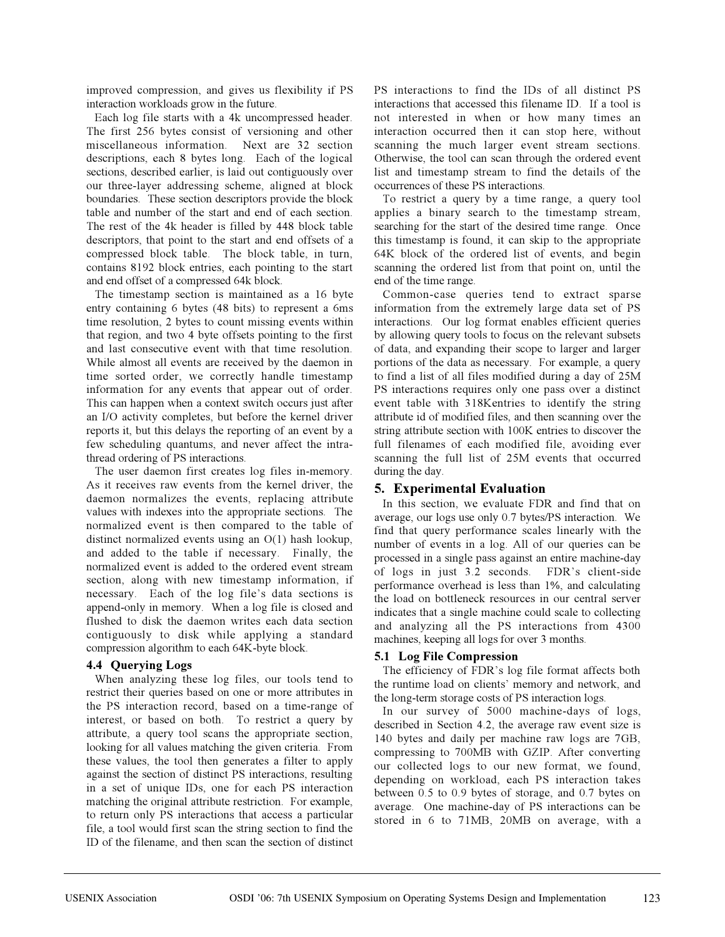improved compression, and gives us flexibility if PS interaction workloads grow in the future.

Each log file starts with a 4k uncompressed header. The first 256 bytes consist of versioning and other miscellaneous information. Next are 32 section descriptions, each 8 bytes long. Each of the logical sections, described earlier, is laid out contiguously over our three-layer addressing scheme, aligned at block boundaries. These section descriptors provide the block table and number of the start and end of each section. The rest of the 4k header is filled by 448 block table descriptors, that point to the start and end offsets of a compressed block table. The block table, in turn, contains 8192 block entries, each pointing to the start and end offset of a compressed 64k block.

The timestamp section is maintained as a 16 byte entry containing 6 bytes (48 bits) to represent a 6ms time resolution, 2 bytes to count missing events within that region, and two 4 byte offsets pointing to the first and last consecutive event with that time resolution. While almost all events are received by the daemon in time sorted order, we correctly handle timestamp information for any events that appear out of order. This can happen when a context switch occurs just after an I/O activity completes, but before the kernel driver reports it, but this delays the reporting of an event by a few scheduling quantums, and never affect the intrathread ordering of PS interactions.

The user daemon first creates log files in-memory. As it receives raw events from the kernel driver, the daemon normalizes the events, replacing attribute values with indexes into the appropriate sections. The normalized event is then compared to the table of distinct normalized events using an O(1) hash lookup, and added to the table if necessary. Finally, the normalized event is added to the ordered event stream section, along with new timestamp information, if necessary. Each of the log file's data sections is append-only in memory. When a log file is closed and flushed to disk the daemon writes each data section contiguously to disk while applying a standard compression algorithm to each 64K-byte block.

## **4.4 Querying Logs**

When analyzing these log files, our tools tend to restrict their queries based on one or more attributes in the PS interaction record, based on a time-range of interest, or based on both. To restrict a query by attribute, a query tool scans the appropriate section, looking for all values matching the given criteria. From these values, the tool then generates a filter to apply against the section of distinct PS interactions, resulting in a set of unique IDs, one for each PS interaction matching the original attribute restriction. For example, to return only PS interactions that access a particular file, a tool would first scan the string section to find the ID of the filename, and then scan the section of distinct PS interactions to find the IDs of all distinct PS interactions that accessed this filename ID. If a tool is not interested in when or how many times an interaction occurred then it can stop here, without scanning the much larger event stream sections. Otherwise, the tool can scan through the ordered event list and timestamp stream to find the details of the occurrences of these PS interactions.

To restrict a query by a time range, a query tool applies a binary search to the timestamp stream, searching for the start of the desired time range. Once this timestamp is found, it can skip to the appropriate 64K block of the ordered list of events, and begin scanning the ordered list from that point on, until the end of the time range.

Common-case queries tend to extract sparse information from the extremely large data set of PS interactions. Our log format enables efficient queries by allowing query tools to focus on the relevant subsets of data, and expanding their scope to larger and larger portions of the data as necessary. For example, a query to find a list of all files modified during a day of 25M PS interactions requires only one pass over a distinct event table with 318Kentries to identify the string attribute id of modified files, and then scanning over the string attribute section with 100K entries to discover the full filenames of each modified file, avoiding ever scanning the full list of 25M events that occurred during the day.

# **5. Experimental Evaluation**

In this section, we evaluate FDR and find that on average, our logs use only 0.7 bytes/PS interaction. We find that query performance scales linearly with the number of events in a log. All of our queries can be processed in a single pass against an entire machine-day of logs in just 3.2 seconds. FDR's client-side performance overhead is less than 1%, and calculating the load on bottleneck resources in our central server indicates that a single machine could scale to collecting and analyzing all the PS interactions from 4300 machines, keeping all logs for over 3 months.

# **5.1 Log File Compression**

The efficiency of FDR's log file format affects both the runtime load on clients' memory and network, and the long-term storage costs of PS interaction logs.

In our survey of 5000 machine-days of logs, described in Section 4.2, the average raw event size is 140 bytes and daily per machine raw logs are 7GB, compressing to 700MB with GZIP. After converting our collected logs to our new format, we found, depending on workload, each PS interaction takes between 0.5 to 0.9 bytes of storage, and 0.7 bytes on average. One machine-day of PS interactions can be stored in 6 to 71MB, 20MB on average, with a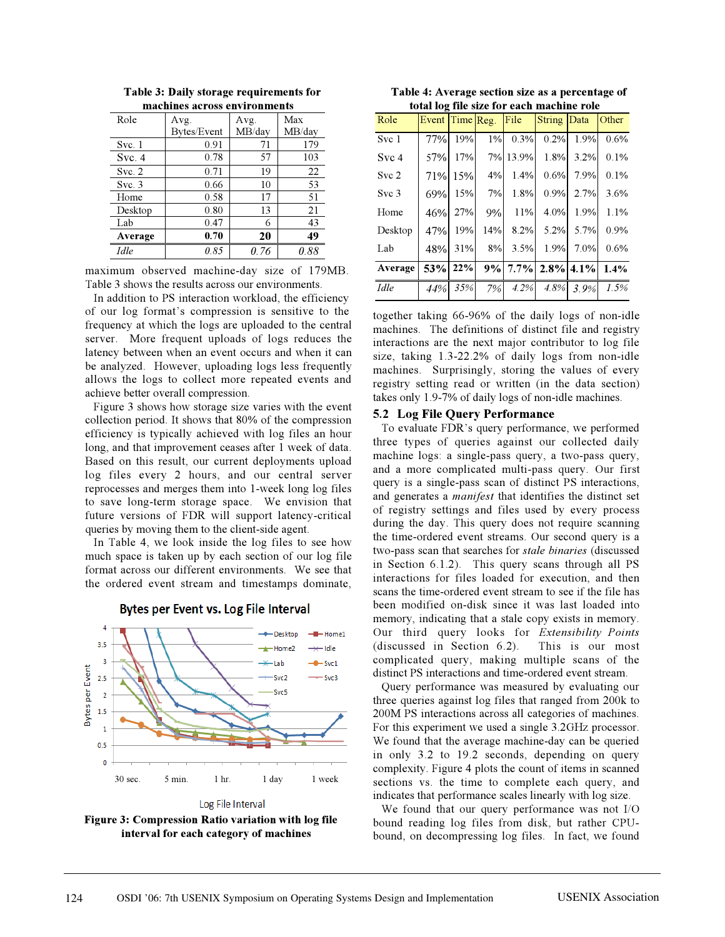| Role        | Avg.        | Avg.   | Max    |  |
|-------------|-------------|--------|--------|--|
|             | Bytes/Event | MB/day | MB/day |  |
| Svc.1       | 0.91        | 71     | 179    |  |
| Svc.4       | 0.78        | 57     | 103    |  |
| Svc. 2      | 0.71        | 19     | 22     |  |
| Svc.3       | 0.66        | 10     | 53     |  |
| Home        | 0.58        | 17     | 51     |  |
| Desktop     | 0.80        | 13     | 21     |  |
| Lab         | 0.47        | 6      | 43     |  |
| Average     | 0.70        | 20     | 49     |  |
| <i>Idle</i> | 0.85        | 0.76   | 0.88   |  |

**Table 3: Daily storage requirements for machines across environments**

maximum observed machine-day size of 179MB. Table 3 shows the results across our environments.

In addition to PS interaction workload, the efficiency of our log format's compression is sensitive to the frequency at which the logs are uploaded to the central server. More frequent uploads of logs reduces the latency between when an event occurs and when it can be analyzed. However, uploading logs less frequently allows the logs to collect more repeated events and achieve better overall compression.

Figure 3 shows how storage size varies with the event collection period. It shows that 80% of the compression efficiency is typically achieved with log files an hour long, and that improvement ceases after 1 week of data. Based on this result, our current deployments upload log files every 2 hours, and our central server reprocesses and merges them into 1-week long log files to save long-term storage space. We envision that future versions of FDR will support latency-critical queries by moving them to the client-side agent.

In Table 4, we look inside the log files to see how much space is taken up by each section of our log file format across our different environments. We see that the ordered event stream and timestamps dominate,



## Bytes per Event vs. Log File Interval

**Figure 3: Compression Ratio variation with log file interval for each category of machines**

**Table 4: Average section size as a percentage of total log file size for each machine role**

| Role             | Event Time $Reg.$ File |         |     | an iog into sine for each m | String Data          |           | Other |
|------------------|------------------------|---------|-----|-----------------------------|----------------------|-----------|-------|
| Svc 1            | 77%                    | 19%     |     | 1% 0.3%                     | 0.2%                 | 1.9%      | 0.6%  |
| Svc 4            | 57%                    | 17%     |     | 7% 13.9%                    | 1.8%                 | 3.2%      | 0.1%  |
| Svc 2            |                        | 71% 15% | 4%  | 1.4%                        | 0.6%                 | 7.9%      | 0.1%  |
| Svc <sub>3</sub> | 69%                    | 15%     | 7%  | 1.8%                        | 0.9%                 | 2.7%      | 3.6%  |
| Home             | 46%                    | 27%     | 9%  | 11%                         | 4.0%                 | 1.9%      | 1.1%  |
| Desktop          | 47%                    | 19%     | 14% | 8.2%                        | 5.2%                 | 5.7%      | 0.9%  |
| Lab              | 48%                    | 31%     |     | 8% 3.5%                     | 1.9%                 | 7.0%      | 0.6%  |
| Average          | 53% 22%                |         |     |                             | $9\%$ 7.7% 2.8% 4.1% |           | 1.4%  |
| Idle             | 44%                    | 35%     |     | 7% 4.2%                     |                      | 4.8% 3.9% | 1.5%  |

together taking 66-96% of the daily logs of non-idle machines. The definitions of distinct file and registry interactions are the next major contributor to log file size, taking 1.3-22.2% of daily logs from non-idle machines. Surprisingly, storing the values of every registry setting read or written (in the data section) takes only 1.9-7% of daily logs of non-idle machines.

#### **5.2 Log File Query Performance**

To evaluate FDR's query performance, we performed three types of queries against our collected daily machine logs: a single-pass query, a two-pass query, and a more complicated multi-pass query. Our first query is a single-pass scan of distinct PS interactions, and generates a *manifest* that identifies the distinct set of registry settings and files used by every process during the day. This query does not require scanning the time-ordered event streams. Our second query is a two-pass scan that searches for *stale binaries* (discussed in Section 6.1.2). This query scans through all PS interactions for files loaded for execution, and then scans the time-ordered event stream to see if the file has been modified on-disk since it was last loaded into memory, indicating that a stale copy exists in memory. Our third query looks for *Extensibility Points* (discussed in Section 6.2). This is our most complicated query, making multiple scans of the distinct PS interactions and time-ordered event stream.

Query performance was measured by evaluating our three queries against log files that ranged from 200k to 200M PS interactions across all categories of machines. For this experiment we used a single 3.2GHz processor. We found that the average machine-day can be queried in only 3.2 to 19.2 seconds, depending on query complexity. Figure 4 plots the count of items in scanned sections vs. the time to complete each query, and indicates that performance scales linearly with log size.

We found that our query performance was not I/O bound reading log files from disk, but rather CPUbound, on decompressing log files. In fact, we found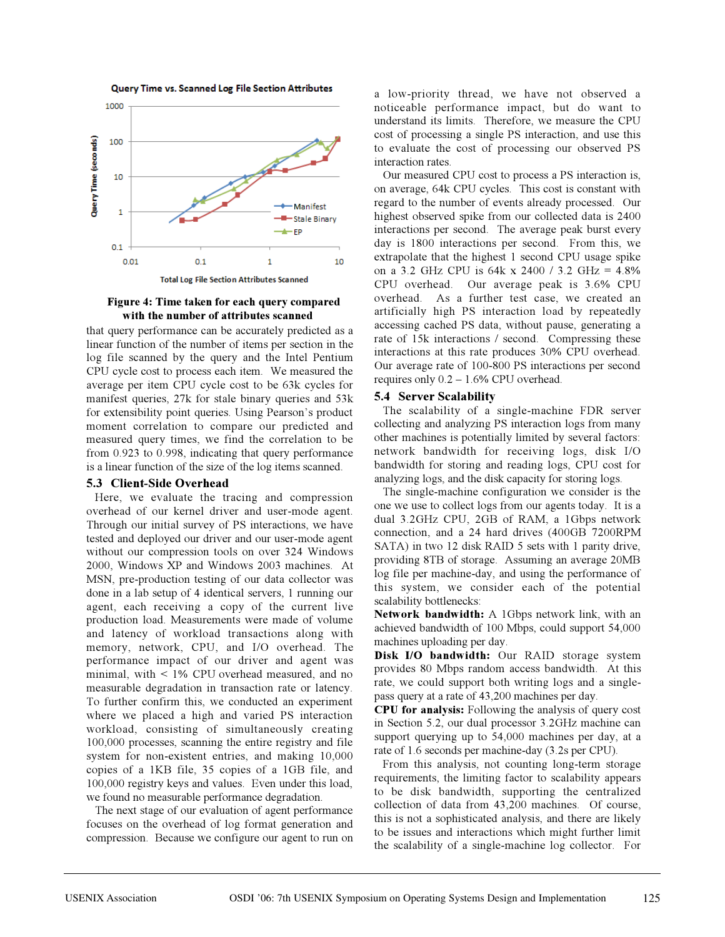



**Figure 4: Time taken for each query compared with the number of attributes scanned**

that query performance can be accurately predicted as a linear function of the number of items per section in the log file scanned by the query and the Intel Pentium CPU cycle cost to process each item. We measured the average per item CPU cycle cost to be 63k cycles for manifest queries, 27k for stale binary queries and 53k for extensibility point queries. Using Pearson's product moment correlation to compare our predicted and measured query times, we find the correlation to be from 0.923 to 0.998, indicating that query performance is a linear function of the size of the log items scanned.

#### **5.3 Client-Side Overhead**

Here, we evaluate the tracing and compression overhead of our kernel driver and user-mode agent. Through our initial survey of PS interactions, we have tested and deployed our driver and our user-mode agent without our compression tools on over 324 Windows 2000, Windows XP and Windows 2003 machines. At MSN, pre-production testing of our data collector was done in a lab setup of 4 identical servers, 1 running our agent, each receiving a copy of the current live production load. Measurements were made of volume and latency of workload transactions along with memory, network, CPU, and I/O overhead. The performance impact of our driver and agent was minimal, with < 1% CPU overhead measured, and no measurable degradation in transaction rate or latency. To further confirm this, we conducted an experiment where we placed a high and varied PS interaction workload, consisting of simultaneously creating 100,000 processes, scanning the entire registry and file system for non-existent entries, and making 10,000 copies of a 1KB file, 35 copies of a 1GB file, and 100,000 registry keys and values. Even under this load, we found no measurable performance degradation.

The next stage of our evaluation of agent performance focuses on the overhead of log format generation and compression. Because we configure our agent to run on a low-priority thread, we have not observed a noticeable performance impact, but do want to understand its limits. Therefore, we measure the CPU cost of processing a single PS interaction, and use this to evaluate the cost of processing our observed PS interaction rates.

Our measured CPU cost to process a PS interaction is, on average, 64k CPU cycles. This cost is constant with regard to the number of events already processed. Our highest observed spike from our collected data is 2400 interactions per second. The average peak burst every day is 1800 interactions per second. From this, we extrapolate that the highest 1 second CPU usage spike on a 3.2 GHz CPU is 64k x 2400 / 3.2 GHz = 4.8% CPU overhead. Our average peak is 3.6% CPU overhead. As a further test case, we created an artificially high PS interaction load by repeatedly accessing cached PS data, without pause, generating a rate of 15k interactions / second. Compressing these interactions at this rate produces 30% CPU overhead. Our average rate of 100-800 PS interactions per second requires only  $0.2 - 1.6\%$  CPU overhead.

#### **5.4 Server Scalability**

The scalability of a single-machine FDR server collecting and analyzing PS interaction logs from many other machines is potentially limited by several factors: network bandwidth for receiving logs, disk I/O bandwidth for storing and reading logs, CPU cost for analyzing logs, and the disk capacity for storing logs.

The single-machine configuration we consider is the one we use to collect logs from our agents today. It is a dual 3.2GHz CPU, 2GB of RAM, a 1Gbps network connection, and a 24 hard drives (400GB 7200RPM SATA) in two 12 disk RAID 5 sets with 1 parity drive, providing 8TB of storage. Assuming an average 20MB log file per machine-day, and using the performance of this system, we consider each of the potential scalability bottlenecks:

**Network bandwidth:** A 1Gbps network link, with an achieved bandwidth of 100 Mbps, could support 54,000 machines uploading per day.

**Disk I/O bandwidth:** Our RAID storage system provides 80 Mbps random access bandwidth. At this rate, we could support both writing logs and a singlepass query at a rate of 43,200 machines per day.

**CPU for analysis:** Following the analysis of query cost in Section 5.2, our dual processor 3.2GHz machine can support querying up to 54,000 machines per day, at a rate of 1.6 seconds per machine-day (3.2s per CPU).

From this analysis, not counting long-term storage requirements, the limiting factor to scalability appears to be disk bandwidth, supporting the centralized collection of data from 43,200 machines. Of course, this is not a sophisticated analysis, and there are likely to be issues and interactions which might further limit the scalability of a single-machine log collector. For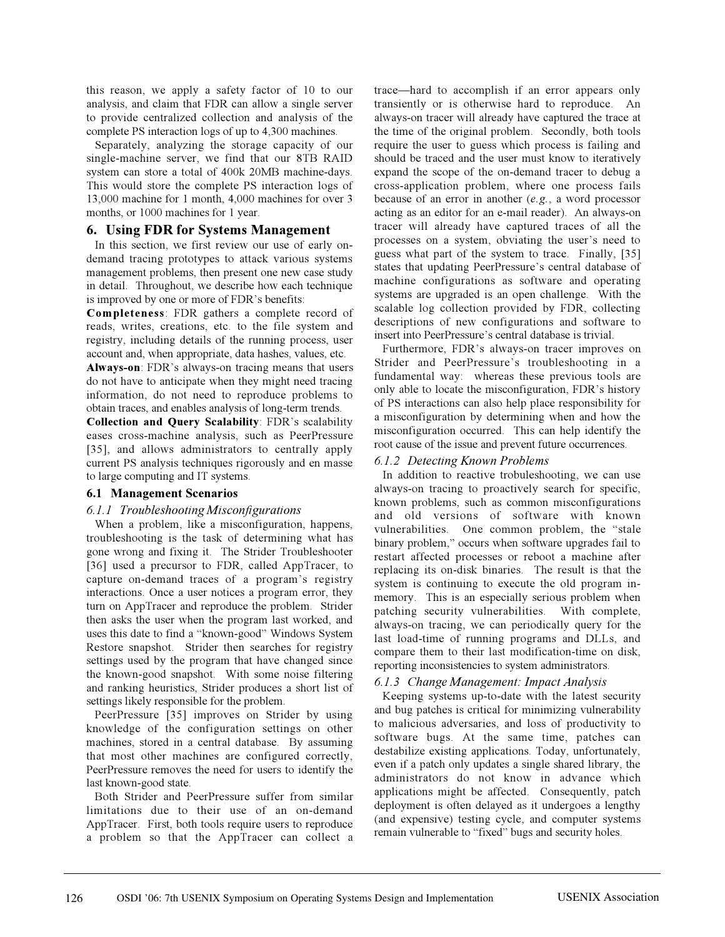this reason, we apply a safety factor of 10 to our analysis, and claim that FDR can allow a single server to provide centralized collection and analysis of the complete PS interaction logs of up to 4,300 machines.

Separately, analyzing the storage capacity of our single-machine server, we find that our 8TB RAID system can store a total of 400k 20MB machine-days. This would store the complete PS interaction logs of 13,000 machine for 1 month, 4,000 machines for over 3 months, or 1000 machines for 1 year.

## **6. Using FDR for Systems Management**

In this section, we first review our use of early ondemand tracing prototypes to attack various systems management problems, then present one new case study in detail. Throughout, we describe how each technique is improved by one or more of FDR's benefits:

**Completeness**: FDR gathers a complete record of reads, writes, creations, etc. to the file system and registry, including details of the running process, user account and, when appropriate, data hashes, values, etc.

**Always-on**: FDR's always-on tracing means that users do not have to anticipate when they might need tracing information, do not need to reproduce problems to obtain traces, and enables analysis of long-term trends.

**Collection and Query Scalability**: FDR's scalability eases cross-machine analysis, such as PeerPressure [35], and allows administrators to centrally apply current PS analysis techniques rigorously and en masse to large computing and IT systems.

## **6.1 Management Scenarios**

#### *6.1.1 Troubleshooting Misconfigurations*

When a problem, like a misconfiguration, happens, troubleshooting is the task of determining what has gone wrong and fixing it. The Strider Troubleshooter [36] used a precursor to FDR, called AppTracer, to capture on-demand traces of a program's registry interactions. Once a user notices a program error, they turn on AppTracer and reproduce the problem. Strider then asks the user when the program last worked, and uses this date to find a "known-good" Windows System Restore snapshot. Strider then searches for registry settings used by the program that have changed since the known-good snapshot. With some noise filtering and ranking heuristics, Strider produces a short list of settings likely responsible for the problem.

PeerPressure [35] improves on Strider by using knowledge of the configuration settings on other machines, stored in a central database. By assuming that most other machines are configured correctly, PeerPressure removes the need for users to identify the last known-good state.

Both Strider and PeerPressure suffer from similar limitations due to their use of an on-demand AppTracer. First, both tools require users to reproduce a problem so that the AppTracer can collect a

trace—hard to accomplish if an error appears only transiently or is otherwise hard to reproduce. An always-on tracer will already have captured the trace at the time of the original problem. Secondly, both tools require the user to guess which process is failing and should be traced and the user must know to iteratively expand the scope of the on-demand tracer to debug a cross-application problem, where one process fails because of an error in another (*e.g.*, a word processor acting as an editor for an e-mail reader). An always-on tracer will already have captured traces of all the processes on a system, obviating the user's need to guess what part of the system to trace. Finally, [35] states that updating PeerPressure's central database of machine configurations as software and operating systems are upgraded is an open challenge. With the scalable log collection provided by FDR, collecting descriptions of new configurations and software to insert into PeerPressure's central database is trivial.

Furthermore, FDR's always-on tracer improves on Strider and PeerPressure's troubleshooting in a fundamental way: whereas these previous tools are only able to locate the misconfiguration, FDR's history of PS interactions can also help place responsibility for a misconfiguration by determining when and how the misconfiguration occurred. This can help identify the root cause of the issue and prevent future occurrences.

## *6.1.2 Detecting Known Problems*

In addition to reactive trobuleshooting, we can use always-on tracing to proactively search for specific, known problems, such as common misconfigurations and old versions of software with known vulnerabilities. One common problem, the "stale binary problem," occurs when software upgrades fail to restart affected processes or reboot a machine after replacing its on-disk binaries. The result is that the system is continuing to execute the old program inmemory. This is an especially serious problem when patching security vulnerabilities. With complete, always-on tracing, we can periodically query for the last load-time of running programs and DLLs, and compare them to their last modification-time on disk, reporting inconsistencies to system administrators.

## *6.1.3 Change Management: Impact Analysis*

Keeping systems up-to-date with the latest security and bug patches is critical for minimizing vulnerability to malicious adversaries, and loss of productivity to software bugs. At the same time, patches can destabilize existing applications. Today, unfortunately, even if a patch only updates a single shared library, the administrators do not know in advance which applications might be affected. Consequently, patch deployment is often delayed as it undergoes a lengthy (and expensive) testing cycle, and computer systems remain vulnerable to "fixed" bugs and security holes.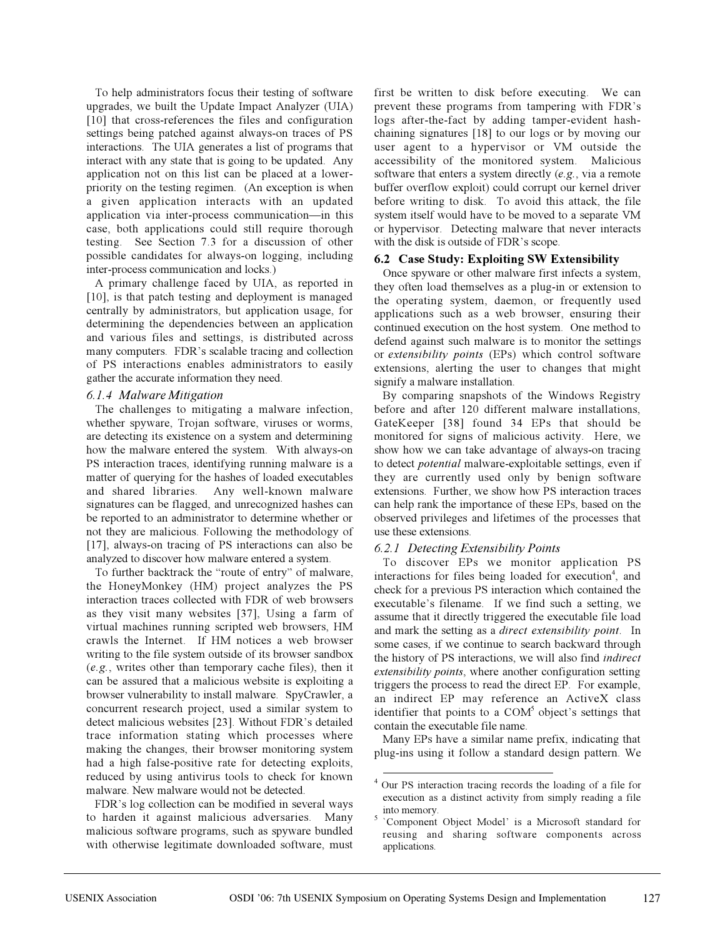To help administrators focus their testing of software upgrades, we built the Update Impact Analyzer (UIA) [10] that cross-references the files and configuration settings being patched against always-on traces of PS interactions. The UIA generates a list of programs that interact with any state that is going to be updated. Any application not on this list can be placed at a lowerpriority on the testing regimen. (An exception is when a given application interacts with an updated application via inter-process communication—in this case, both applications could still require thorough testing. See Section 7.3 for a discussion of other possible candidates for always-on logging, including inter-process communication and locks.)

A primary challenge faced by UIA, as reported in [10], is that patch testing and deployment is managed centrally by administrators, but application usage, for determining the dependencies between an application and various files and settings, is distributed across many computers. FDR's scalable tracing and collection of PS interactions enables administrators to easily gather the accurate information they need.

## *6.1.4 Malware Mitigation*

The challenges to mitigating a malware infection, whether spyware, Trojan software, viruses or worms, are detecting its existence on a system and determining how the malware entered the system. With always-on PS interaction traces, identifying running malware is a matter of querying for the hashes of loaded executables and shared libraries. Any well-known malware signatures can be flagged, and unrecognized hashes can be reported to an administrator to determine whether or not they are malicious. Following the methodology of [17], always-on tracing of PS interactions can also be analyzed to discover how malware entered a system.

To further backtrack the "route of entry" of malware, the HoneyMonkey (HM) project analyzes the PS interaction traces collected with FDR of web browsers as they visit many websites [37], Using a farm of virtual machines running scripted web browsers, HM crawls the Internet. If HM notices a web browser writing to the file system outside of its browser sandbox (*e.g.*, writes other than temporary cache files), then it can be assured that a malicious website is exploiting a browser vulnerability to install malware. SpyCrawler, a concurrent research project, used a similar system to detect malicious websites [23]. Without FDR's detailed trace information stating which processes where making the changes, their browser monitoring system had a high false-positive rate for detecting exploits, reduced by using antivirus tools to check for known malware. New malware would not be detected.

FDR's log collection can be modified in several ways to harden it against malicious adversaries. Many malicious software programs, such as spyware bundled with otherwise legitimate downloaded software, must first be written to disk before executing. We can prevent these programs from tampering with FDR's logs after-the-fact by adding tamper-evident hashchaining signatures [18] to our logs or by moving our user agent to a hypervisor or VM outside the accessibility of the monitored system. Malicious software that enters a system directly (*e.g.*, via a remote buffer overflow exploit) could corrupt our kernel driver before writing to disk. To avoid this attack, the file system itself would have to be moved to a separate VM or hypervisor. Detecting malware that never interacts with the disk is outside of FDR's scope.

## **6.2 Case Study: Exploiting SW Extensibility**

Once spyware or other malware first infects a system, they often load themselves as a plug-in or extension to the operating system, daemon, or frequently used applications such as a web browser, ensuring their continued execution on the host system. One method to defend against such malware is to monitor the settings or *extensibility points* (EPs) which control software extensions, alerting the user to changes that might signify a malware installation.

By comparing snapshots of the Windows Registry before and after 120 different malware installations, GateKeeper [38] found 34 EPs that should be monitored for signs of malicious activity. Here, we show how we can take advantage of always-on tracing to detect *potential* malware-exploitable settings, even if they are currently used only by benign software extensions. Further, we show how PS interaction traces can help rank the importance of these EPs, based on the observed privileges and lifetimes of the processes that use these extensions.

## *6.2.1 Detecting Extensibility Points*

To discover EPs we monitor application PS interactions for files being loaded for execution<sup>4</sup>, and check for a previous PS interaction which contained the executable's filename. If we find such a setting, we assume that it directly triggered the executable file load and mark the setting as a *direct extensibility point*. In some cases, if we continue to search backward through the history of PS interactions, we will also find *indirect extensibility points*, where another configuration setting triggers the process to read the direct EP. For example, an indirect EP may reference an ActiveX class identifier that points to a  $COM<sup>5</sup>$  object's settings that contain the executable file name.

Many EPs have a similar name prefix, indicating that plug-ins using it follow a standard design pattern. We

<sup>4</sup> Our PS interaction tracing records the loading of a file for execution as a distinct activity from simply reading a file into memory.<br><sup>5</sup> `Component Object Model' is a Microsoft standard for

reusing and sharing software components across applications.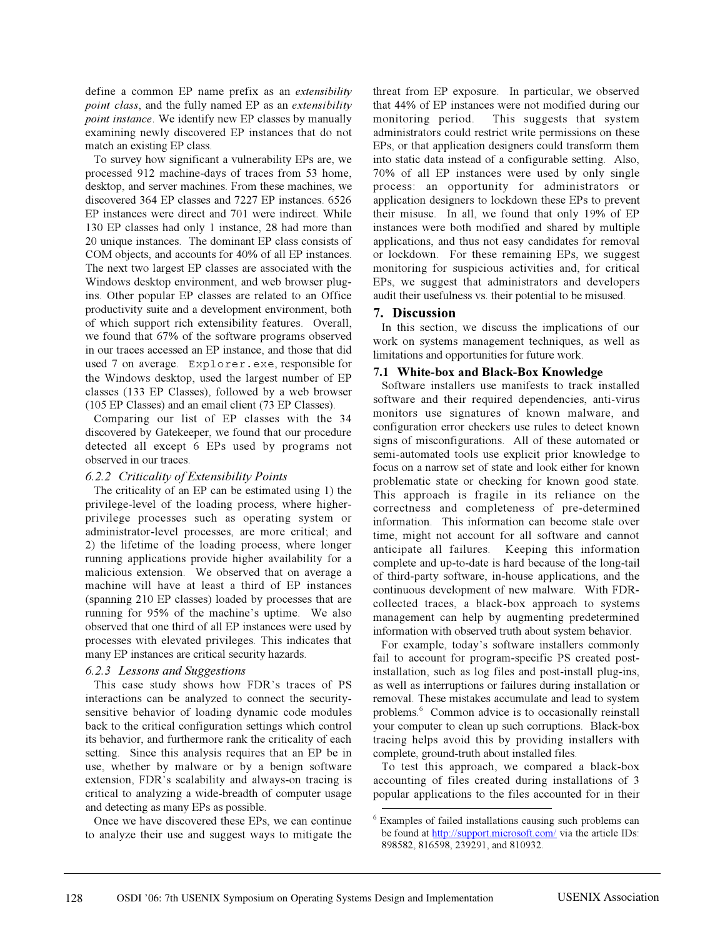define a common EP name prefix as an *extensibility point class*, and the fully named EP as an *extensibility point instance*. We identify new EP classes by manually examining newly discovered EP instances that do not match an existing EP class.

To survey how significant a vulnerability EPs are, we processed 912 machine-days of traces from 53 home, desktop, and server machines. From these machines, we discovered 364 EP classes and 7227 EP instances. 6526 EP instances were direct and 701 were indirect. While 130 EP classes had only 1 instance, 28 had more than 20 unique instances. The dominant EP class consists of COM objects, and accounts for 40% of all EP instances. The next two largest EP classes are associated with the Windows desktop environment, and web browser plugins. Other popular EP classes are related to an Office productivity suite and a development environment, both of which support rich extensibility features. Overall, we found that 67% of the software programs observed in our traces accessed an EP instance, and those that did used 7 on average. Explorer.exe, responsible for the Windows desktop, used the largest number of EP classes (133 EP Classes), followed by a web browser (105 EP Classes) and an email client (73 EP Classes).

Comparing our list of EP classes with the 34 discovered by Gatekeeper, we found that our procedure detected all except 6 EPs used by programs not observed in our traces.

#### *6.2.2 Criticality of Extensibility Points*

The criticality of an EP can be estimated using 1) the privilege-level of the loading process, where higherprivilege processes such as operating system or administrator-level processes, are more critical; and 2) the lifetime of the loading process, where longer running applications provide higher availability for a malicious extension. We observed that on average a machine will have at least a third of EP instances (spanning 210 EP classes) loaded by processes that are running for 95% of the machine's uptime. We also observed that one third of all EP instances were used by processes with elevated privileges. This indicates that many EP instances are critical security hazards.

## *6.2.3 Lessons and Suggestions*

This case study shows how FDR's traces of PS interactions can be analyzed to connect the securitysensitive behavior of loading dynamic code modules back to the critical configuration settings which control its behavior, and furthermore rank the criticality of each setting. Since this analysis requires that an EP be in use, whether by malware or by a benign software extension, FDR's scalability and always-on tracing is critical to analyzing a wide-breadth of computer usage and detecting as many EPs as possible.

Once we have discovered these EPs, we can continue to analyze their use and suggest ways to mitigate the threat from EP exposure. In particular, we observed that 44% of EP instances were not modified during our monitoring period. This suggests that system administrators could restrict write permissions on these EPs, or that application designers could transform them into static data instead of a configurable setting. Also, 70% of all EP instances were used by only single process: an opportunity for administrators or application designers to lockdown these EPs to prevent their misuse. In all, we found that only 19% of EP instances were both modified and shared by multiple applications, and thus not easy candidates for removal or lockdown. For these remaining EPs, we suggest monitoring for suspicious activities and, for critical EPs, we suggest that administrators and developers audit their usefulness vs. their potential to be misused.

## **7. Discussion**

In this section, we discuss the implications of our work on systems management techniques, as well as limitations and opportunities for future work.

## **7.1 White-box and Black-Box Knowledge**

Software installers use manifests to track installed software and their required dependencies, anti-virus monitors use signatures of known malware, and configuration error checkers use rules to detect known signs of misconfigurations. All of these automated or semi-automated tools use explicit prior knowledge to focus on a narrow set of state and look either for known problematic state or checking for known good state. This approach is fragile in its reliance on the correctness and completeness of pre-determined information. This information can become stale over time, might not account for all software and cannot anticipate all failures. Keeping this information complete and up-to-date is hard because of the long-tail of third-party software, in-house applications, and the continuous development of new malware. With FDRcollected traces, a black-box approach to systems management can help by augmenting predetermined information with observed truth about system behavior.

For example, today's software installers commonly fail to account for program-specific PS created postinstallation, such as log files and post-install plug-ins, as well as interruptions or failures during installation or removal. These mistakes accumulate and lead to system problems.<sup>6</sup> Common advice is to occasionally reinstall your computer to clean up such corruptions. Black-box tracing helps avoid this by providing installers with complete, ground-truth about installed files.

To test this approach, we compared a black-box accounting of files created during installations of 3 popular applications to the files accounted for in their

<sup>6</sup> Examples of failed installations causing such problems can be found at http://support.microsoft.com/ via the article IDs: 898582, 816598, 239291, and 810932.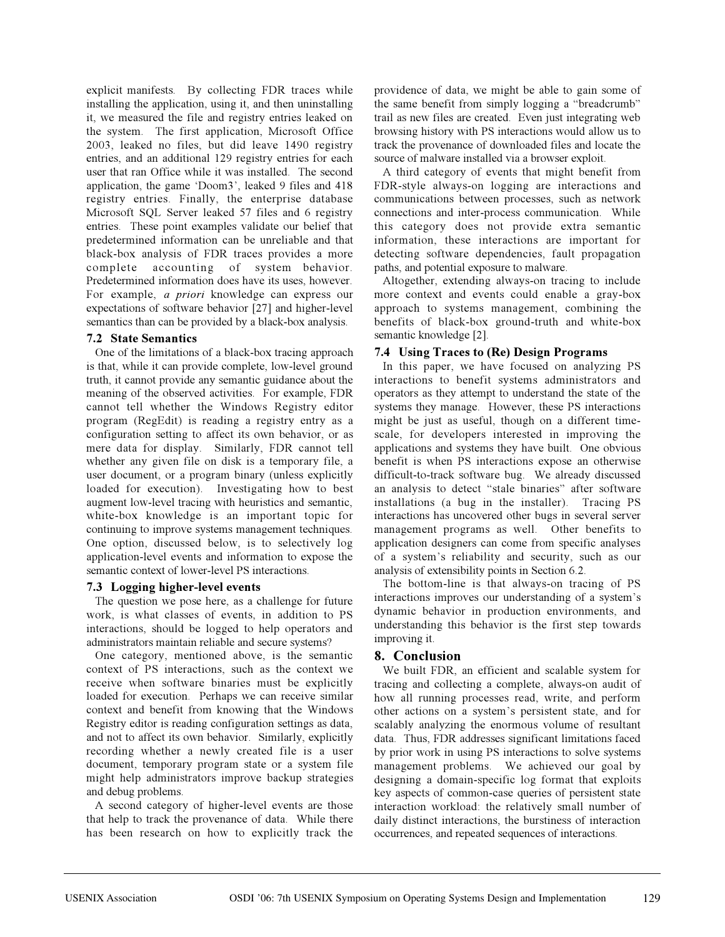explicit manifests. By collecting FDR traces while installing the application, using it, and then uninstalling it, we measured the file and registry entries leaked on the system. The first application, Microsoft Office 2003, leaked no files, but did leave 1490 registry entries, and an additional 129 registry entries for each user that ran Office while it was installed. The second application, the game 'Doom3', leaked 9 files and 418 registry entries. Finally, the enterprise database Microsoft SQL Server leaked 57 files and 6 registry entries. These point examples validate our belief that predetermined information can be unreliable and that black-box analysis of FDR traces provides a more complete accounting of system behavior. Predetermined information does have its uses, however. For example, *a priori* knowledge can express our expectations of software behavior [27] and higher-level semantics than can be provided by a black-box analysis.

## **7.2 State Semantics**

One of the limitations of a black-box tracing approach is that, while it can provide complete, low-level ground truth, it cannot provide any semantic guidance about the meaning of the observed activities. For example, FDR cannot tell whether the Windows Registry editor program (RegEdit) is reading a registry entry as a configuration setting to affect its own behavior, or as mere data for display. Similarly, FDR cannot tell whether any given file on disk is a temporary file, a user document, or a program binary (unless explicitly loaded for execution). Investigating how to best augment low-level tracing with heuristics and semantic, white-box knowledge is an important topic for continuing to improve systems management techniques. One option, discussed below, is to selectively log application-level events and information to expose the semantic context of lower-level PS interactions.

## **7.3 Logging higher-level events**

The question we pose here, as a challenge for future work, is what classes of events, in addition to PS interactions, should be logged to help operators and administrators maintain reliable and secure systems?

One category, mentioned above, is the semantic context of PS interactions, such as the context we receive when software binaries must be explicitly loaded for execution. Perhaps we can receive similar context and benefit from knowing that the Windows Registry editor is reading configuration settings as data, and not to affect its own behavior. Similarly, explicitly recording whether a newly created file is a user document, temporary program state or a system file might help administrators improve backup strategies and debug problems.

A second category of higher-level events are those that help to track the provenance of data. While there has been research on how to explicitly track the providence of data, we might be able to gain some of the same benefit from simply logging a "breadcrumb" trail as new files are created. Even just integrating web browsing history with PS interactions would allow us to track the provenance of downloaded files and locate the source of malware installed via a browser exploit.

A third category of events that might benefit from FDR-style always-on logging are interactions and communications between processes, such as network connections and inter-process communication. While this category does not provide extra semantic information, these interactions are important for detecting software dependencies, fault propagation paths, and potential exposure to malware.

Altogether, extending always-on tracing to include more context and events could enable a gray-box approach to systems management, combining the benefits of black-box ground-truth and white-box semantic knowledge [2].

## **7.4 Using Traces to (Re) Design Programs**

In this paper, we have focused on analyzing PS interactions to benefit systems administrators and operators as they attempt to understand the state of the systems they manage. However, these PS interactions might be just as useful, though on a different timescale, for developers interested in improving the applications and systems they have built. One obvious benefit is when PS interactions expose an otherwise difficult-to-track software bug. We already discussed an analysis to detect "stale binaries" after software installations (a bug in the installer). Tracing PS interactions has uncovered other bugs in several server management programs as well. Other benefits to application designers can come from specific analyses of a system's reliability and security, such as our analysis of extensibility points in Section 6.2.

The bottom-line is that always-on tracing of PS interactions improves our understanding of a system's dynamic behavior in production environments, and understanding this behavior is the first step towards improving it.

# **8. Conclusion**

We built FDR, an efficient and scalable system for tracing and collecting a complete, always-on audit of how all running processes read, write, and perform other actions on a system's persistent state, and for scalably analyzing the enormous volume of resultant data. Thus, FDR addresses significant limitations faced by prior work in using PS interactions to solve systems management problems. We achieved our goal by designing a domain-specific log format that exploits key aspects of common-case queries of persistent state interaction workload: the relatively small number of daily distinct interactions, the burstiness of interaction occurrences, and repeated sequences of interactions.